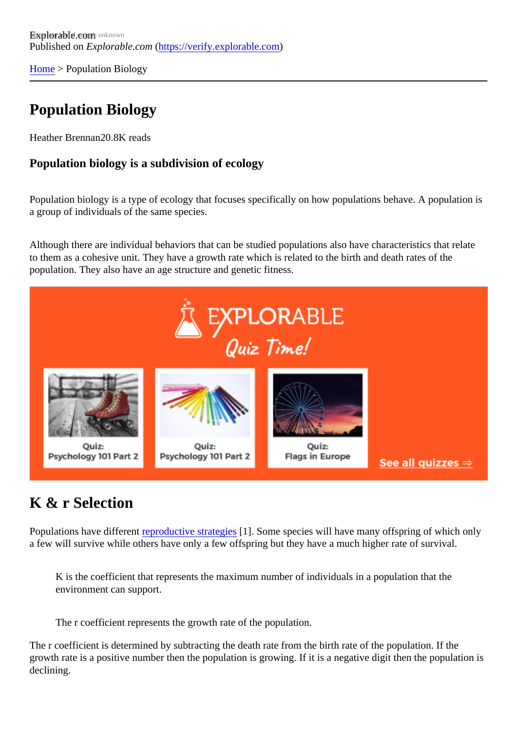[Home](https://verify.explorable.com/) > Population Biology

# Population Biology

Heather Brennan0.8K reads

Population biology is a subdivision of ecology

Population biology is a type of ecology that focuses specifically on how populations behave. A population a group of individuals of the same species.

Although there are individual behaviors that can be studied populations also have characteristics that relat to them as a cohesive unit. They have a growth rate which is related to the birth and death rates of the population. They also have an age structure and genetic fitness.

### K & r Selection

Populations have different productive strategies]. Some species will have many offspring of which only a few will survive while others have only a few offspring but they have a much higher rate of survival.

K is the coefficient that represents the maximum number of individuals in a population that the environment can support.

The r coefficient represents the growth rate of the population.

The r coefficient is determined by subtracting the death rate from the birth rate of the population. If the growth rate is a positive number then the population is growing. If it is a negative digit then the population declining.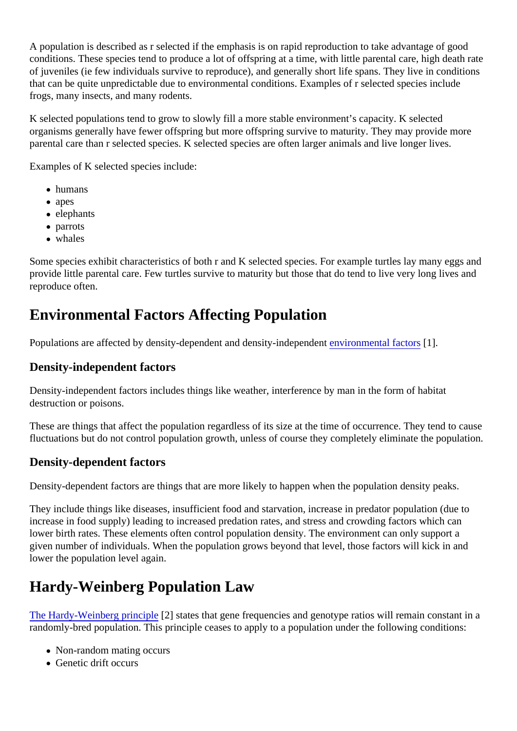A population is described as r selected if the emphasis is on rapid reproduction to take advantage of good conditions. These species tend to produce a lot of offspring at a time, with little parental care, high death rate of juveniles (ie few individuals survive to reproduce), and generally short life spans. They live in conditions that can be quite unpredictable due to environmental conditions. Examples of r selected species include frogs, many insects, and many rodents.

K selected populations tend to grow to slowly fill a more stable environment's capacity. K selected organisms generally have fewer offspring but more offspring survive to maturity. They may provide more parental care than r selected species. K selected species are often larger animals and live longer lives.

Examples of K selected species include:

- humans
- apes
- elephants
- parrots
- whales

Some species exhibit characteristics of both r and K selected species. For example turtles lay many eggs provide little parental care. Few turtles survive to maturity but those that do tend to live very long lives and reproduce often.

# Environmental Factors Affecting Population

Populations are affected by density-dependent and density-independicatmental factors[1].

#### Density-independent factors

Density-independent factors includes things like weather, interference by man in the form of habitat destruction or poisons.

These are things that affect the population regardless of its size at the time of occurrence. They tend to ca fluctuations but do not control population growth, unless of course they completely eliminate the population

### Density-dependent factors

Density-dependent factors are things that are more likely to happen when the population density peaks.

They include things like diseases, insufficient food and starvation, increase in predator population (due to increase in food supply) leading to increased predation rates, and stress and crowding factors which can lower birth rates. These elements often control population density. The environment can only support a given number of individuals. When the population grows beyond that level, those factors will kick in and lower the population level again.

### Hardy-Weinberg Population Law

[The Hardy-Weinberg princip](http://users.rcn.com/jkimball.ma.ultranet/BiologyPages/H/Hardy_Weinberg.html)l<sup>2</sup> states that gene frequencies and genotype ratios will remain constant in a randomly-bred population. This principle ceases to apply to a population under the following conditions:

- Non-random mating occurs
- Genetic drift occurs